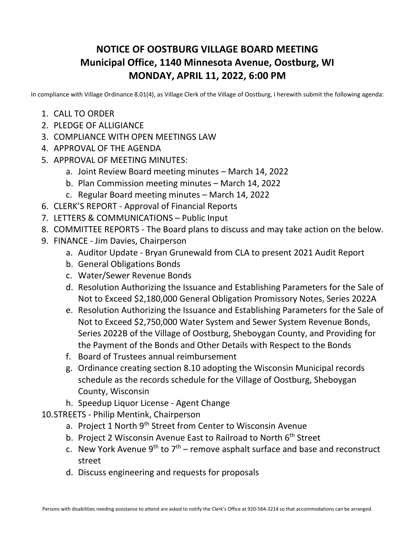## **NOTICE OF OOSTBURG VILLAGE BOARD MEETING Municipal Office, 1140 Minnesota Avenue, Oostburg, WI MONDAY, APRIL 11, 2022, 6:00 PM**

In compliance with Village Ordinance 8.01(4), as Village Clerk of the Village of Oostburg, I herewith submit the following agenda:

- 1. CALL TO ORDER
- 2. PLEDGE OF ALLIGIANCE
- 3. COMPLIANCE WITH OPEN MEETINGS LAW
- 4. APPROVAL OF THE AGENDA
- 5. APPROVAL OF MEETING MINUTES:
	- a. Joint Review Board meeting minutes March 14, 2022
	- b. Plan Commission meeting minutes March 14, 2022
	- c. Regular Board meeting minutes March 14, 2022
- 6. CLERK'S REPORT Approval of Financial Reports
- 7. LETTERS & COMMUNICATIONS Public Input
- 8. COMMITTEE REPORTS The Board plans to discuss and may take action on the below.
- 9. FINANCE Jim Davies, Chairperson
	- a. Auditor Update Bryan Grunewald from CLA to present 2021 Audit Report
	- b. General Obligations Bonds
	- c. Water/Sewer Revenue Bonds
	- d. Resolution Authorizing the Issuance and Establishing Parameters for the Sale of Not to Exceed \$2,180,000 General Obligation Promissory Notes, Series 2022A
	- e. Resolution Authorizing the Issuance and Establishing Parameters for the Sale of Not to Exceed \$2,750,000 Water System and Sewer System Revenue Bonds, Series 2022B of the Village of Oostburg, Sheboygan County, and Providing for the Payment of the Bonds and Other Details with Respect to the Bonds
	- f. Board of Trustees annual reimbursement
	- g. Ordinance creating section 8.10 adopting the Wisconsin Municipal records schedule as the records schedule for the Village of Oostburg, Sheboygan County, Wisconsin
	- h. Speedup Liquor License Agent Change
- 10.STREETS Philip Mentink, Chairperson
	- a. Project 1 North 9<sup>th</sup> Street from Center to Wisconsin Avenue
	- b. Project 2 Wisconsin Avenue East to Railroad to North 6<sup>th</sup> Street
	- c. New York Avenue  $9^{th}$  to  $7^{th}$  remove asphalt surface and base and reconstruct street
	- d. Discuss engineering and requests for proposals